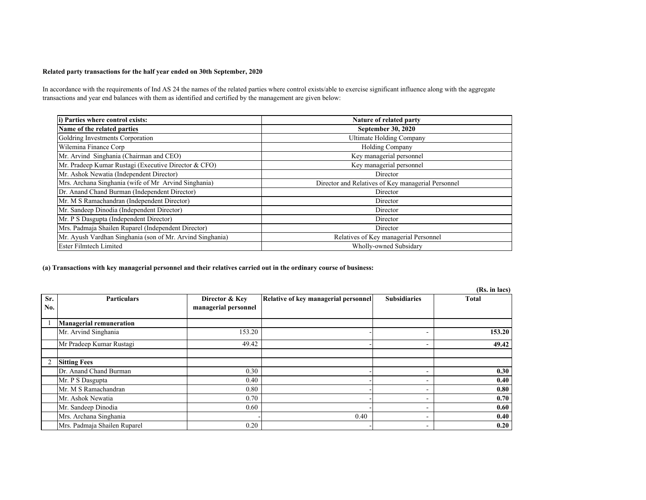## **Related party transactions for the half year ended on 30th September, 2020**

In accordance with the requirements of Ind AS 24 the names of the related parties where control exists/able to exercise significant influence along with the aggregate transactions and year end balances with them as identified and certified by the management are given below:

| i) Parties where control exists:                          | Nature of related party                            |
|-----------------------------------------------------------|----------------------------------------------------|
| Name of the related parties                               | <b>September 30, 2020</b>                          |
| Goldring Investments Corporation                          | Ultimate Holding Company                           |
| Wilemina Finance Corp                                     | Holding Company                                    |
| Mr. Arvind Singhania (Chairman and CEO)                   | Key managerial personnel                           |
| Mr. Pradeep Kumar Rustagi (Executive Director & CFO)      | Key managerial personnel                           |
| Mr. Ashok Newatia (Independent Director)                  | Director                                           |
| Mrs. Archana Singhania (wife of Mr Arvind Singhania)      | Director and Relatives of Key managerial Personnel |
| Dr. Anand Chand Burman (Independent Director)             | Director                                           |
| Mr. M S Ramachandran (Independent Director)               | Director                                           |
| Mr. Sandeep Dinodia (Independent Director)                | Director                                           |
| Mr. P S Dasgupta (Independent Director)                   | Director                                           |
| Mrs. Padmaja Shailen Ruparel (Independent Director)       | Director                                           |
| Mr. Ayush Vardhan Singhania (son of Mr. Arvind Singhania) | Relatives of Key managerial Personnel              |
| <b>Ester Filmtech Limited</b>                             | Wholly-owned Subsidary                             |

## **(a) Transactions with key managerial personnel and their relatives carried out in the ordinary course of business:**

|                |                                |                      |                                      |                          | (Rs. in lacs) |
|----------------|--------------------------------|----------------------|--------------------------------------|--------------------------|---------------|
| Sr.            | <b>Particulars</b>             | Director & Kev       | Relative of key managerial personnel | <b>Subsidiaries</b>      | <b>Total</b>  |
| No.            |                                | managerial personnel |                                      |                          |               |
|                |                                |                      |                                      |                          |               |
|                | <b>Managerial remuneration</b> |                      |                                      |                          |               |
|                | Mr. Arvind Singhania           | 153.20               |                                      | -                        | 153.20        |
|                | Mr Pradeep Kumar Rustagi       | 49.42                |                                      | -                        | 49.42         |
|                |                                |                      |                                      |                          |               |
| $\overline{2}$ | <b>Sitting Fees</b>            |                      |                                      |                          |               |
|                | Dr. Anand Chand Burman         | 0.30                 |                                      | -                        | 0.30          |
|                | Mr. P S Dasgupta               | 0.40                 |                                      | $\sim$                   | 0.40          |
|                | Mr. M S Ramachandran           | 0.80                 |                                      | -                        | 0.80          |
|                | Mr. Ashok Newatia              | 0.70                 |                                      | -                        | 0.70          |
|                | Mr. Sandeep Dinodia            | 0.60                 |                                      | -                        | 0.60          |
|                | Mrs. Archana Singhania         |                      | 0.40                                 | $\overline{\phantom{a}}$ | 0.40          |
|                | Mrs. Padmaja Shailen Ruparel   | 0.20                 |                                      | -                        | 0.20          |